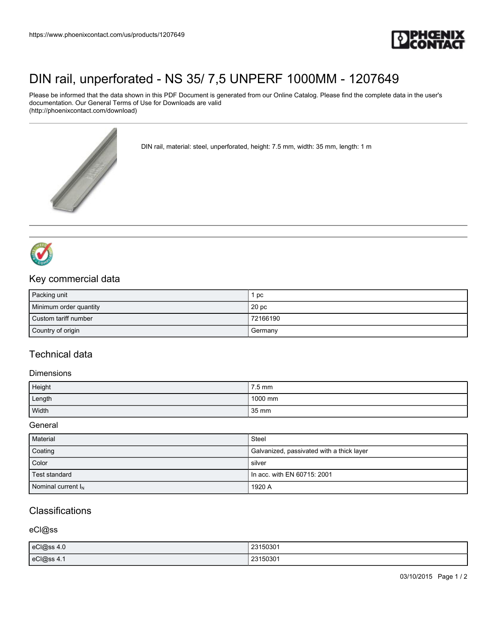

# [DIN rail, unperforated - NS 35/ 7,5 UNPERF 1000MM - 1207649](https://www.phoenixcontact.com/us/products/1207649)

Please be informed that the data shown in this PDF Document is generated from our Online Catalog. Please find the complete data in the user's documentation. Our General Terms of Use for Downloads are valid (http://phoenixcontact.com/download)



DIN rail, material: steel, unperforated, height: 7.5 mm, width: 35 mm, length: 1 m



### Key commercial data

| Packing unit           | pc               |
|------------------------|------------------|
| Minimum order quantity | 20 <sub>pc</sub> |
| Custom tariff number   | 72166190         |
| Country of origin      | Germany          |

### Technical data

#### **Dimensions**

| Height | 7.5 mm  |
|--------|---------|
| Length | 1000 mm |
| Width  | 35 mm   |

### General

| Material              | Steel                                     |
|-----------------------|-------------------------------------------|
| Coating               | Galvanized, passivated with a thick layer |
| Color                 | silver                                    |
| Test standard         | In acc. with EN 60715: 2001               |
| Nominal current $I_N$ | 1920 A                                    |

## **Classifications**

### eCl@ss

| eCl@ss 4.0 | 23150301 |
|------------|----------|
| eCl@ss 4.1 | 23150301 |